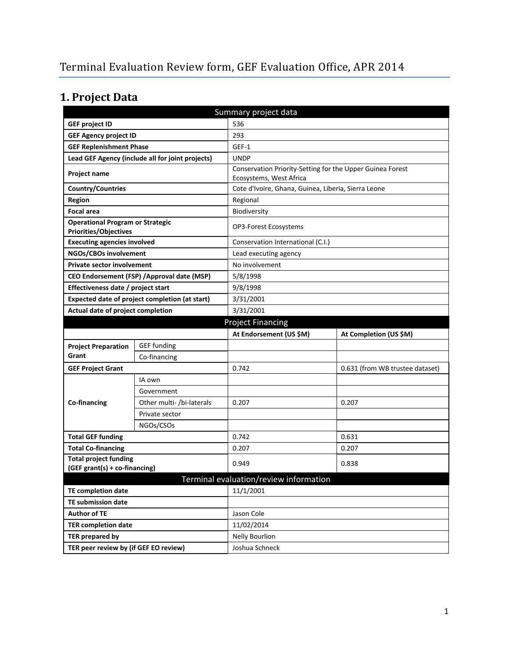# **1. Project Data**

| Summary project data                                                    |                           |                                                                                      |                                 |  |  |
|-------------------------------------------------------------------------|---------------------------|--------------------------------------------------------------------------------------|---------------------------------|--|--|
| <b>GEF project ID</b>                                                   |                           | 536                                                                                  |                                 |  |  |
| <b>GEF Agency project ID</b>                                            |                           | 293                                                                                  |                                 |  |  |
| <b>GEF Replenishment Phase</b>                                          |                           | GEF-1                                                                                |                                 |  |  |
| Lead GEF Agency (include all for joint projects)                        |                           | <b>UNDP</b>                                                                          |                                 |  |  |
| Project name                                                            |                           | Conservation Priority-Setting for the Upper Guinea Forest<br>Ecosystems, West Africa |                                 |  |  |
| Country/Countries                                                       |                           | Cote d'Ivoire, Ghana, Guinea, Liberia, Sierra Leone                                  |                                 |  |  |
| <b>Region</b>                                                           |                           | Regional                                                                             |                                 |  |  |
| <b>Focal area</b>                                                       |                           | Biodiversity                                                                         |                                 |  |  |
| <b>Operational Program or Strategic</b><br><b>Priorities/Objectives</b> |                           | OP3-Forest Ecosystems                                                                |                                 |  |  |
| <b>Executing agencies involved</b>                                      |                           | Conservation International (C.I.)                                                    |                                 |  |  |
| NGOs/CBOs involvement                                                   |                           | Lead executing agency                                                                |                                 |  |  |
| <b>Private sector involvement</b>                                       |                           | No involvement                                                                       |                                 |  |  |
| CEO Endorsement (FSP) / Approval date (MSP)                             |                           | 5/8/1998                                                                             |                                 |  |  |
| Effectiveness date / project start                                      |                           | 9/8/1998                                                                             |                                 |  |  |
| Expected date of project completion (at start)                          |                           | 3/31/2001                                                                            |                                 |  |  |
| Actual date of project completion                                       |                           | 3/31/2001                                                                            |                                 |  |  |
| <b>Project Financing</b>                                                |                           |                                                                                      |                                 |  |  |
|                                                                         |                           | At Endorsement (US \$M)                                                              | At Completion (US \$M)          |  |  |
| <b>Project Preparation</b>                                              | <b>GEF</b> funding        |                                                                                      |                                 |  |  |
| Grant                                                                   | Co-financing              |                                                                                      |                                 |  |  |
| <b>GEF Project Grant</b>                                                |                           | 0.742                                                                                | 0.631 (from WB trustee dataset) |  |  |
|                                                                         | IA own                    |                                                                                      |                                 |  |  |
|                                                                         | Government                |                                                                                      |                                 |  |  |
| Co-financing                                                            | Other multi- /bi-laterals | 0.207                                                                                | 0.207                           |  |  |
|                                                                         | Private sector            |                                                                                      |                                 |  |  |
|                                                                         | NGOs/CSOs                 |                                                                                      |                                 |  |  |
| <b>Total GEF funding</b>                                                |                           | 0.742                                                                                | 0.631                           |  |  |
| <b>Total Co-financing</b>                                               |                           | 0.207                                                                                | 0.207                           |  |  |
| <b>Total project funding</b>                                            |                           | 0.949                                                                                | 0.838                           |  |  |
| (GEF grant(s) + co-financing)                                           |                           |                                                                                      |                                 |  |  |
|                                                                         |                           | Terminal evaluation/review information                                               |                                 |  |  |
| <b>TE completion date</b>                                               |                           | 11/1/2001                                                                            |                                 |  |  |
| <b>TE submission date</b>                                               |                           |                                                                                      |                                 |  |  |
| <b>Author of TE</b>                                                     |                           | Jason Cole                                                                           |                                 |  |  |
| <b>TER completion date</b>                                              |                           | 11/02/2014                                                                           |                                 |  |  |
| <b>TER prepared by</b>                                                  |                           | <b>Nelly Bourlion</b>                                                                |                                 |  |  |
| TER peer review by (if GEF EO review)                                   |                           | Joshua Schneck                                                                       |                                 |  |  |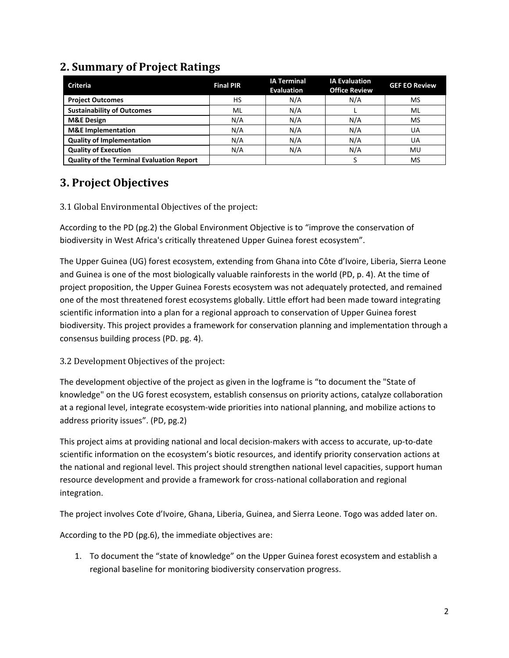| <b>Criteria</b>                                  | <b>Final PIR</b> | <b>IA Terminal</b><br><b>Evaluation</b> | <b>IA Evaluation</b><br><b>Office Review</b> | <b>GEF EO Review</b> |
|--------------------------------------------------|------------------|-----------------------------------------|----------------------------------------------|----------------------|
|                                                  | HS               | N/A                                     |                                              |                      |
| <b>Project Outcomes</b>                          |                  |                                         | N/A                                          | <b>MS</b>            |
| <b>Sustainability of Outcomes</b>                | ML               | N/A                                     |                                              | ML                   |
| <b>M&amp;E Design</b>                            | N/A              | N/A                                     | N/A                                          | <b>MS</b>            |
| <b>M&amp;E</b> Implementation                    | N/A              | N/A                                     | N/A                                          | UA                   |
| <b>Quality of Implementation</b>                 | N/A              | N/A                                     | N/A                                          | UA                   |
| <b>Quality of Execution</b>                      | N/A              | N/A                                     | N/A                                          | MU                   |
| <b>Quality of the Terminal Evaluation Report</b> |                  |                                         |                                              | MS                   |

# **2. Summary of Project Ratings**

## **3. Project Objectives**

3.1 Global Environmental Objectives of the project:

According to the PD (pg.2) the Global Environment Objective is to "improve the conservation of biodiversity in West Africa's critically threatened Upper Guinea forest ecosystem".

The Upper Guinea (UG) forest ecosystem, extending from Ghana into Côte d'Ivoire, Liberia, Sierra Leone and Guinea is one of the most biologically valuable rainforests in the world (PD, p. 4). At the time of project proposition, the Upper Guinea Forests ecosystem was not adequately protected, and remained one of the most threatened forest ecosystems globally. Little effort had been made toward integrating scientific information into a plan for a regional approach to conservation of Upper Guinea forest biodiversity. This project provides a framework for conservation planning and implementation through a consensus building process (PD. pg. 4).

#### 3.2 Development Objectives of the project:

The development objective of the project as given in the logframe is "to document the "State of knowledge" on the UG forest ecosystem, establish consensus on priority actions, catalyze collaboration at a regional level, integrate ecosystem-wide priorities into national planning, and mobilize actions to address priority issues". (PD, pg.2)

This project aims at providing national and local decision-makers with access to accurate, up-to-date scientific information on the ecosystem's biotic resources, and identify priority conservation actions at the national and regional level. This project should strengthen national level capacities, support human resource development and provide a framework for cross-national collaboration and regional integration.

The project involves Cote d'Ivoire, Ghana, Liberia, Guinea, and Sierra Leone. Togo was added later on.

According to the PD (pg.6), the immediate objectives are:

1. To document the "state of knowledge" on the Upper Guinea forest ecosystem and establish a regional baseline for monitoring biodiversity conservation progress.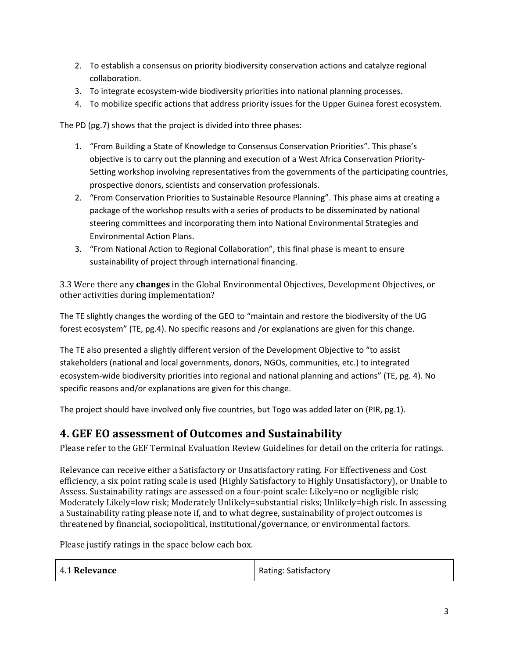- 2. To establish a consensus on priority biodiversity conservation actions and catalyze regional collaboration.
- 3. To integrate ecosystem-wide biodiversity priorities into national planning processes.
- 4. To mobilize specific actions that address priority issues for the Upper Guinea forest ecosystem.

The PD (pg.7) shows that the project is divided into three phases:

- 1. "From Building a State of Knowledge to Consensus Conservation Priorities". This phase's objective is to carry out the planning and execution of a West Africa Conservation Priority-Setting workshop involving representatives from the governments of the participating countries, prospective donors, scientists and conservation professionals.
- 2. "From Conservation Priorities to Sustainable Resource Planning". This phase aims at creating a package of the workshop results with a series of products to be disseminated by national steering committees and incorporating them into National Environmental Strategies and Environmental Action Plans.
- 3. "From National Action to Regional Collaboration", this final phase is meant to ensure sustainability of project through international financing.

3.3 Were there any **changes** in the Global Environmental Objectives, Development Objectives, or other activities during implementation?

The TE slightly changes the wording of the GEO to "maintain and restore the biodiversity of the UG forest ecosystem" (TE, pg.4). No specific reasons and /or explanations are given for this change.

The TE also presented a slightly different version of the Development Objective to "to assist stakeholders (national and local governments, donors, NGOs, communities, etc.) to integrated ecosystem-wide biodiversity priorities into regional and national planning and actions" (TE, pg. 4). No specific reasons and/or explanations are given for this change.

The project should have involved only five countries, but Togo was added later on (PIR, pg.1).

### **4. GEF EO assessment of Outcomes and Sustainability**

Please refer to the GEF Terminal Evaluation Review Guidelines for detail on the criteria for ratings.

Relevance can receive either a Satisfactory or Unsatisfactory rating. For Effectiveness and Cost efficiency, a six point rating scale is used (Highly Satisfactory to Highly Unsatisfactory), or Unable to Assess. Sustainability ratings are assessed on a four-point scale: Likely=no or negligible risk; Moderately Likely=low risk; Moderately Unlikely=substantial risks; Unlikely=high risk. In assessing a Sustainability rating please note if, and to what degree, sustainability of project outcomes is threatened by financial, sociopolitical, institutional/governance, or environmental factors.

Please justify ratings in the space below each box.

| 4.1 Relevance | Rating: Satisfactory |
|---------------|----------------------|
|---------------|----------------------|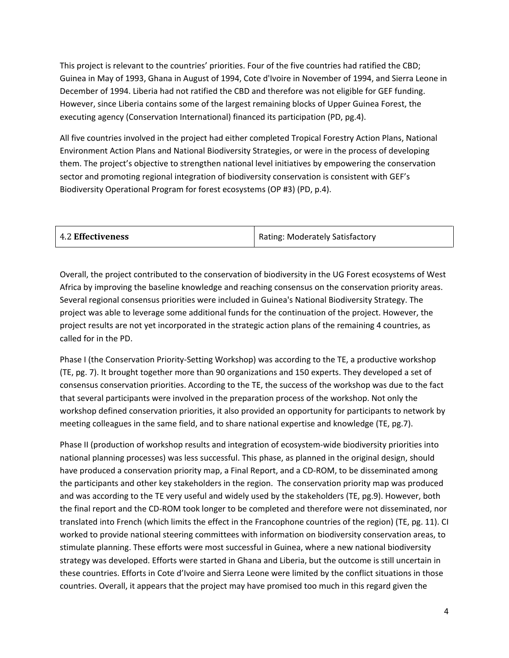This project is relevant to the countries' priorities. Four of the five countries had ratified the CBD; Guinea in May of 1993, Ghana in August of 1994, Cote d'Ivoire in November of 1994, and Sierra Leone in December of 1994. Liberia had not ratified the CBD and therefore was not eligible for GEF funding. However, since Liberia contains some of the largest remaining blocks of Upper Guinea Forest, the executing agency (Conservation International) financed its participation (PD, pg.4).

All five countries involved in the project had either completed Tropical Forestry Action Plans, National Environment Action Plans and National Biodiversity Strategies, or were in the process of developing them. The project's objective to strengthen national level initiatives by empowering the conservation sector and promoting regional integration of biodiversity conservation is consistent with GEF's Biodiversity Operational Program for forest ecosystems (OP #3) (PD, p.4).

| <b>4.2 Effectiveness</b> | Rating: Moderately Satisfactory |
|--------------------------|---------------------------------|
|                          |                                 |

Overall, the project contributed to the conservation of biodiversity in the UG Forest ecosystems of West Africa by improving the baseline knowledge and reaching consensus on the conservation priority areas. Several regional consensus priorities were included in Guinea's National Biodiversity Strategy. The project was able to leverage some additional funds for the continuation of the project. However, the project results are not yet incorporated in the strategic action plans of the remaining 4 countries, as called for in the PD.

Phase I (the Conservation Priority-Setting Workshop) was according to the TE, a productive workshop (TE, pg. 7). It brought together more than 90 organizations and 150 experts. They developed a set of consensus conservation priorities. According to the TE, the success of the workshop was due to the fact that several participants were involved in the preparation process of the workshop. Not only the workshop defined conservation priorities, it also provided an opportunity for participants to network by meeting colleagues in the same field, and to share national expertise and knowledge (TE, pg.7).

Phase II (production of workshop results and integration of ecosystem-wide biodiversity priorities into national planning processes) was less successful. This phase, as planned in the original design, should have produced a conservation priority map, a Final Report, and a CD-ROM, to be disseminated among the participants and other key stakeholders in the region. The conservation priority map was produced and was according to the TE very useful and widely used by the stakeholders (TE, pg.9). However, both the final report and the CD-ROM took longer to be completed and therefore were not disseminated, nor translated into French (which limits the effect in the Francophone countries of the region) (TE, pg. 11). CI worked to provide national steering committees with information on biodiversity conservation areas, to stimulate planning. These efforts were most successful in Guinea, where a new national biodiversity strategy was developed. Efforts were started in Ghana and Liberia, but the outcome is still uncertain in these countries. Efforts in Cote d'Ivoire and Sierra Leone were limited by the conflict situations in those countries. Overall, it appears that the project may have promised too much in this regard given the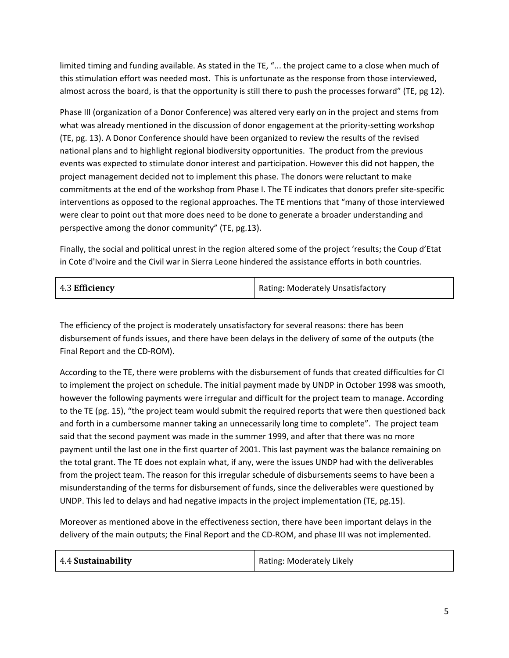limited timing and funding available. As stated in the TE, "... the project came to a close when much of this stimulation effort was needed most. This is unfortunate as the response from those interviewed, almost across the board, is that the opportunity is still there to push the processes forward" (TE, pg 12).

Phase III (organization of a Donor Conference) was altered very early on in the project and stems from what was already mentioned in the discussion of donor engagement at the priority-setting workshop (TE, pg. 13). A Donor Conference should have been organized to review the results of the revised national plans and to highlight regional biodiversity opportunities. The product from the previous events was expected to stimulate donor interest and participation. However this did not happen, the project management decided not to implement this phase. The donors were reluctant to make commitments at the end of the workshop from Phase I. The TE indicates that donors prefer site-specific interventions as opposed to the regional approaches. The TE mentions that "many of those interviewed were clear to point out that more does need to be done to generate a broader understanding and perspective among the donor community" (TE, pg.13).

Finally, the social and political unrest in the region altered some of the project 'results; the Coup d'Etat in Cote d'Ivoire and the Civil war in Sierra Leone hindered the assistance efforts in both countries.

The efficiency of the project is moderately unsatisfactory for several reasons: there has been disbursement of funds issues, and there have been delays in the delivery of some of the outputs (the Final Report and the CD-ROM).

According to the TE, there were problems with the disbursement of funds that created difficulties for CI to implement the project on schedule. The initial payment made by UNDP in October 1998 was smooth, however the following payments were irregular and difficult for the project team to manage. According to the TE (pg. 15), "the project team would submit the required reports that were then questioned back and forth in a cumbersome manner taking an unnecessarily long time to complete". The project team said that the second payment was made in the summer 1999, and after that there was no more payment until the last one in the first quarter of 2001. This last payment was the balance remaining on the total grant. The TE does not explain what, if any, were the issues UNDP had with the deliverables from the project team. The reason for this irregular schedule of disbursements seems to have been a misunderstanding of the terms for disbursement of funds, since the deliverables were questioned by UNDP. This led to delays and had negative impacts in the project implementation (TE, pg.15).

Moreover as mentioned above in the effectiveness section, there have been important delays in the delivery of the main outputs; the Final Report and the CD-ROM, and phase III was not implemented.

| 4.4 Sustainability | Rating: Moderately Likely |
|--------------------|---------------------------|
|--------------------|---------------------------|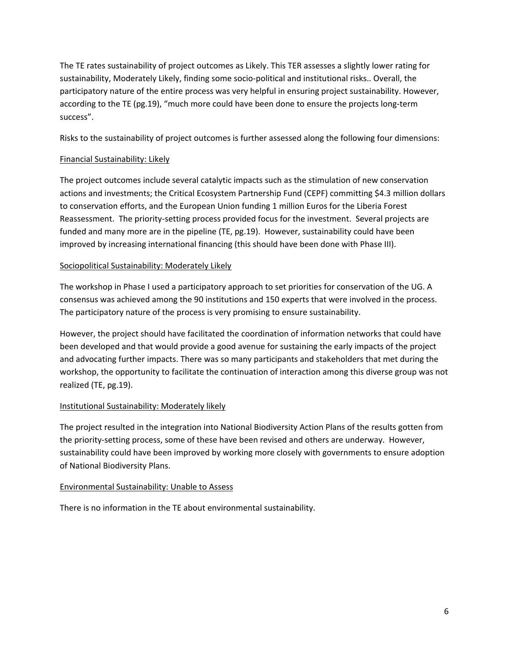The TE rates sustainability of project outcomes as Likely. This TER assesses a slightly lower rating for sustainability, Moderately Likely, finding some socio-political and institutional risks.. Overall, the participatory nature of the entire process was very helpful in ensuring project sustainability. However, according to the TE (pg.19), "much more could have been done to ensure the projects long-term success".

Risks to the sustainability of project outcomes is further assessed along the following four dimensions:

#### Financial Sustainability: Likely

The project outcomes include several catalytic impacts such as the stimulation of new conservation actions and investments; the Critical Ecosystem Partnership Fund (CEPF) committing \$4.3 million dollars to conservation efforts, and the European Union funding 1 million Euros for the Liberia Forest Reassessment. The priority-setting process provided focus for the investment. Several projects are funded and many more are in the pipeline (TE, pg.19). However, sustainability could have been improved by increasing international financing (this should have been done with Phase III).

#### Sociopolitical Sustainability: Moderately Likely

The workshop in Phase I used a participatory approach to set priorities for conservation of the UG. A consensus was achieved among the 90 institutions and 150 experts that were involved in the process. The participatory nature of the process is very promising to ensure sustainability.

However, the project should have facilitated the coordination of information networks that could have been developed and that would provide a good avenue for sustaining the early impacts of the project and advocating further impacts. There was so many participants and stakeholders that met during the workshop, the opportunity to facilitate the continuation of interaction among this diverse group was not realized (TE, pg.19).

#### Institutional Sustainability: Moderately likely

The project resulted in the integration into National Biodiversity Action Plans of the results gotten from the priority-setting process, some of these have been revised and others are underway. However, sustainability could have been improved by working more closely with governments to ensure adoption of National Biodiversity Plans.

#### Environmental Sustainability: Unable to Assess

There is no information in the TE about environmental sustainability.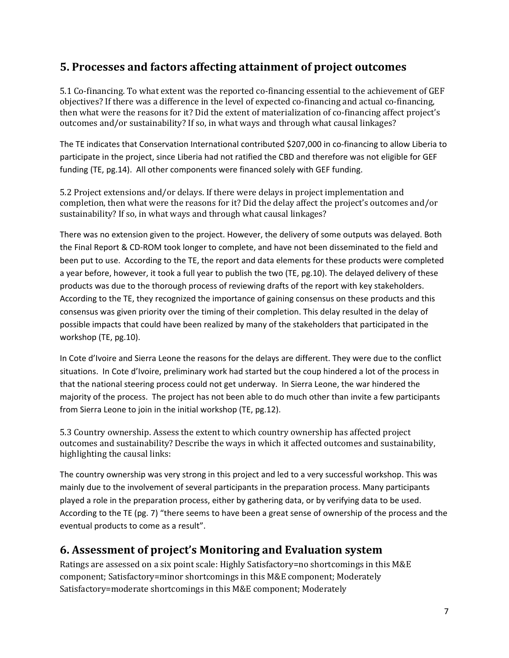### **5. Processes and factors affecting attainment of project outcomes**

5.1 Co-financing. To what extent was the reported co-financing essential to the achievement of GEF objectives? If there was a difference in the level of expected co-financing and actual co-financing, then what were the reasons for it? Did the extent of materialization of co-financing affect project's outcomes and/or sustainability? If so, in what ways and through what causal linkages?

The TE indicates that Conservation International contributed \$207,000 in co-financing to allow Liberia to participate in the project, since Liberia had not ratified the CBD and therefore was not eligible for GEF funding (TE, pg.14). All other components were financed solely with GEF funding.

5.2 Project extensions and/or delays. If there were delays in project implementation and completion, then what were the reasons for it? Did the delay affect the project's outcomes and/or sustainability? If so, in what ways and through what causal linkages?

There was no extension given to the project. However, the delivery of some outputs was delayed. Both the Final Report & CD-ROM took longer to complete, and have not been disseminated to the field and been put to use. According to the TE, the report and data elements for these products were completed a year before, however, it took a full year to publish the two (TE, pg.10). The delayed delivery of these products was due to the thorough process of reviewing drafts of the report with key stakeholders. According to the TE, they recognized the importance of gaining consensus on these products and this consensus was given priority over the timing of their completion. This delay resulted in the delay of possible impacts that could have been realized by many of the stakeholders that participated in the workshop (TE, pg.10).

In Cote d'Ivoire and Sierra Leone the reasons for the delays are different. They were due to the conflict situations. In Cote d'Ivoire, preliminary work had started but the coup hindered a lot of the process in that the national steering process could not get underway. In Sierra Leone, the war hindered the majority of the process. The project has not been able to do much other than invite a few participants from Sierra Leone to join in the initial workshop (TE, pg.12).

5.3 Country ownership. Assess the extent to which country ownership has affected project outcomes and sustainability? Describe the ways in which it affected outcomes and sustainability, highlighting the causal links:

The country ownership was very strong in this project and led to a very successful workshop. This was mainly due to the involvement of several participants in the preparation process. Many participants played a role in the preparation process, either by gathering data, or by verifying data to be used. According to the TE (pg. 7) "there seems to have been a great sense of ownership of the process and the eventual products to come as a result".

### **6. Assessment of project's Monitoring and Evaluation system**

Ratings are assessed on a six point scale: Highly Satisfactory=no shortcomings in this M&E component; Satisfactory=minor shortcomings in this M&E component; Moderately Satisfactory=moderate shortcomings in this M&E component; Moderately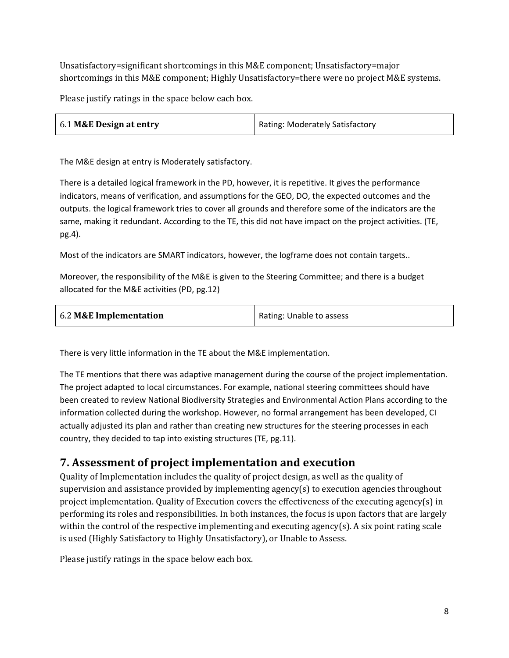Unsatisfactory=significant shortcomings in this M&E component; Unsatisfactory=major shortcomings in this M&E component; Highly Unsatisfactory=there were no project M&E systems.

Please justify ratings in the space below each box.

| 6.1 M&E Design at entry | Rating: Moderately Satisfactory |
|-------------------------|---------------------------------|
|                         |                                 |

The M&E design at entry is Moderately satisfactory.

There is a detailed logical framework in the PD, however, it is repetitive. It gives the performance indicators, means of verification, and assumptions for the GEO, DO, the expected outcomes and the outputs. the logical framework tries to cover all grounds and therefore some of the indicators are the same, making it redundant. According to the TE, this did not have impact on the project activities. (TE, pg.4).

Most of the indicators are SMART indicators, however, the logframe does not contain targets..

Moreover, the responsibility of the M&E is given to the Steering Committee; and there is a budget allocated for the M&E activities (PD, pg.12)

| 6.2 M&E Implementation<br>Rating: Unable to assess |  |
|----------------------------------------------------|--|
|----------------------------------------------------|--|

There is very little information in the TE about the M&E implementation.

The TE mentions that there was adaptive management during the course of the project implementation. The project adapted to local circumstances. For example, national steering committees should have been created to review National Biodiversity Strategies and Environmental Action Plans according to the information collected during the workshop. However, no formal arrangement has been developed, CI actually adjusted its plan and rather than creating new structures for the steering processes in each country, they decided to tap into existing structures (TE, pg.11).

### **7. Assessment of project implementation and execution**

Quality of Implementation includes the quality of project design, as well as the quality of supervision and assistance provided by implementing agency(s) to execution agencies throughout project implementation. Quality of Execution covers the effectiveness of the executing agency(s) in performing its roles and responsibilities. In both instances, the focus is upon factors that are largely within the control of the respective implementing and executing agency(s). A six point rating scale is used (Highly Satisfactory to Highly Unsatisfactory), or Unable to Assess.

Please justify ratings in the space below each box.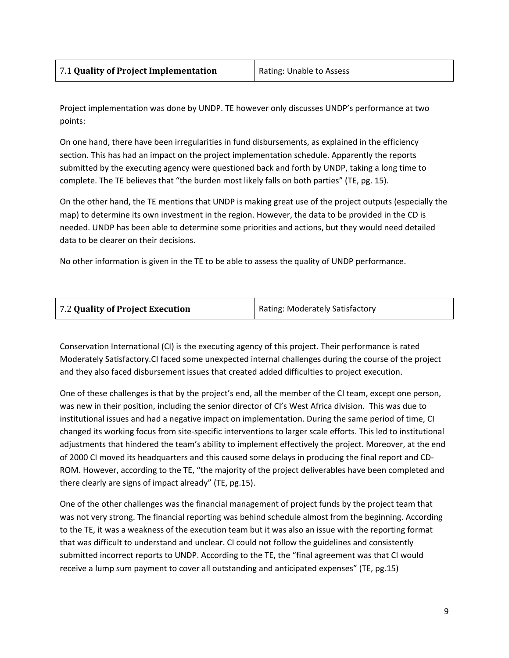| 7.1 Quality of Project Implementation | Rating: Unable to Assess |
|---------------------------------------|--------------------------|
|                                       |                          |

Project implementation was done by UNDP. TE however only discusses UNDP's performance at two points:

On one hand, there have been irregularities in fund disbursements, as explained in the efficiency section. This has had an impact on the project implementation schedule. Apparently the reports submitted by the executing agency were questioned back and forth by UNDP, taking a long time to complete. The TE believes that "the burden most likely falls on both parties" (TE, pg. 15).

On the other hand, the TE mentions that UNDP is making great use of the project outputs (especially the map) to determine its own investment in the region. However, the data to be provided in the CD is needed. UNDP has been able to determine some priorities and actions, but they would need detailed data to be clearer on their decisions.

No other information is given in the TE to be able to assess the quality of UNDP performance.

Conservation International (CI) is the executing agency of this project. Their performance is rated Moderately Satisfactory.CI faced some unexpected internal challenges during the course of the project and they also faced disbursement issues that created added difficulties to project execution.

One of these challenges is that by the project's end, all the member of the CI team, except one person, was new in their position, including the senior director of CI's West Africa division. This was due to institutional issues and had a negative impact on implementation. During the same period of time, CI changed its working focus from site-specific interventions to larger scale efforts. This led to institutional adjustments that hindered the team's ability to implement effectively the project. Moreover, at the end of 2000 CI moved its headquarters and this caused some delays in producing the final report and CD-ROM. However, according to the TE, "the majority of the project deliverables have been completed and there clearly are signs of impact already" (TE, pg.15).

One of the other challenges was the financial management of project funds by the project team that was not very strong. The financial reporting was behind schedule almost from the beginning. According to the TE, it was a weakness of the execution team but it was also an issue with the reporting format that was difficult to understand and unclear. CI could not follow the guidelines and consistently submitted incorrect reports to UNDP. According to the TE, the "final agreement was that CI would receive a lump sum payment to cover all outstanding and anticipated expenses" (TE, pg.15)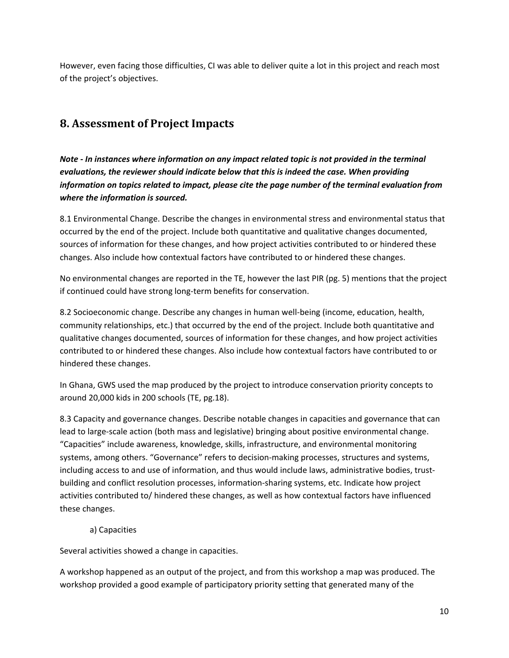However, even facing those difficulties, CI was able to deliver quite a lot in this project and reach most of the project's objectives.

## **8. Assessment of Project Impacts**

*Note - In instances where information on any impact related topic is not provided in the terminal evaluations, the reviewer should indicate below that this is indeed the case. When providing information on topics related to impact, please cite the page number of the terminal evaluation from where the information is sourced.* 

8.1 Environmental Change. Describe the changes in environmental stress and environmental status that occurred by the end of the project. Include both quantitative and qualitative changes documented, sources of information for these changes, and how project activities contributed to or hindered these changes. Also include how contextual factors have contributed to or hindered these changes.

No environmental changes are reported in the TE, however the last PIR (pg. 5) mentions that the project if continued could have strong long-term benefits for conservation.

8.2 Socioeconomic change. Describe any changes in human well-being (income, education, health, community relationships, etc.) that occurred by the end of the project. Include both quantitative and qualitative changes documented, sources of information for these changes, and how project activities contributed to or hindered these changes. Also include how contextual factors have contributed to or hindered these changes.

In Ghana, GWS used the map produced by the project to introduce conservation priority concepts to around 20,000 kids in 200 schools (TE, pg.18).

8.3 Capacity and governance changes. Describe notable changes in capacities and governance that can lead to large-scale action (both mass and legislative) bringing about positive environmental change. "Capacities" include awareness, knowledge, skills, infrastructure, and environmental monitoring systems, among others. "Governance" refers to decision-making processes, structures and systems, including access to and use of information, and thus would include laws, administrative bodies, trustbuilding and conflict resolution processes, information-sharing systems, etc. Indicate how project activities contributed to/ hindered these changes, as well as how contextual factors have influenced these changes.

#### a) Capacities

Several activities showed a change in capacities.

A workshop happened as an output of the project, and from this workshop a map was produced. The workshop provided a good example of participatory priority setting that generated many of the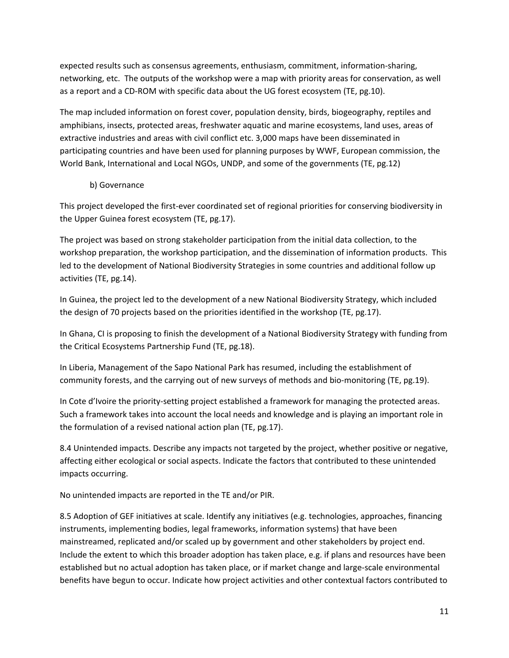expected results such as consensus agreements, enthusiasm, commitment, information-sharing, networking, etc. The outputs of the workshop were a map with priority areas for conservation, as well as a report and a CD-ROM with specific data about the UG forest ecosystem (TE, pg.10).

The map included information on forest cover, population density, birds, biogeography, reptiles and amphibians, insects, protected areas, freshwater aquatic and marine ecosystems, land uses, areas of extractive industries and areas with civil conflict etc. 3,000 maps have been disseminated in participating countries and have been used for planning purposes by WWF, European commission, the World Bank, International and Local NGOs, UNDP, and some of the governments (TE, pg.12)

#### b) Governance

This project developed the first-ever coordinated set of regional priorities for conserving biodiversity in the Upper Guinea forest ecosystem (TE, pg.17).

The project was based on strong stakeholder participation from the initial data collection, to the workshop preparation, the workshop participation, and the dissemination of information products. This led to the development of National Biodiversity Strategies in some countries and additional follow up activities (TE, pg.14).

In Guinea, the project led to the development of a new National Biodiversity Strategy, which included the design of 70 projects based on the priorities identified in the workshop (TE, pg.17).

In Ghana, CI is proposing to finish the development of a National Biodiversity Strategy with funding from the Critical Ecosystems Partnership Fund (TE, pg.18).

In Liberia, Management of the Sapo National Park has resumed, including the establishment of community forests, and the carrying out of new surveys of methods and bio-monitoring (TE, pg.19).

In Cote d'Ivoire the priority-setting project established a framework for managing the protected areas. Such a framework takes into account the local needs and knowledge and is playing an important role in the formulation of a revised national action plan (TE, pg.17).

8.4 Unintended impacts. Describe any impacts not targeted by the project, whether positive or negative, affecting either ecological or social aspects. Indicate the factors that contributed to these unintended impacts occurring.

No unintended impacts are reported in the TE and/or PIR.

8.5 Adoption of GEF initiatives at scale. Identify any initiatives (e.g. technologies, approaches, financing instruments, implementing bodies, legal frameworks, information systems) that have been mainstreamed, replicated and/or scaled up by government and other stakeholders by project end. Include the extent to which this broader adoption has taken place, e.g. if plans and resources have been established but no actual adoption has taken place, or if market change and large-scale environmental benefits have begun to occur. Indicate how project activities and other contextual factors contributed to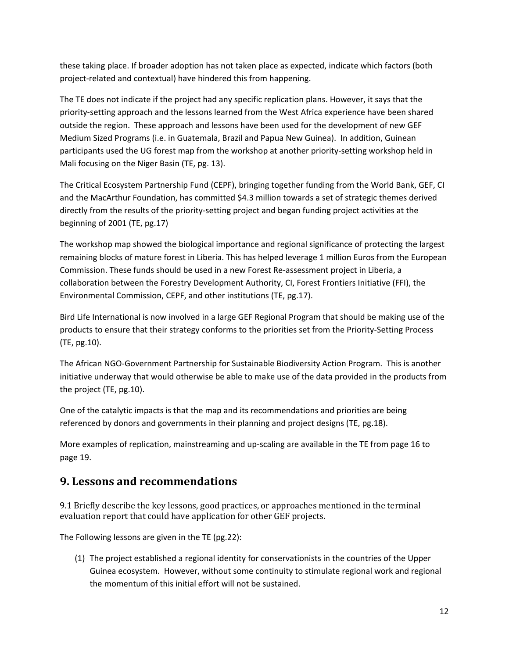these taking place. If broader adoption has not taken place as expected, indicate which factors (both project-related and contextual) have hindered this from happening.

The TE does not indicate if the project had any specific replication plans. However, it says that the priority-setting approach and the lessons learned from the West Africa experience have been shared outside the region. These approach and lessons have been used for the development of new GEF Medium Sized Programs (i.e. in Guatemala, Brazil and Papua New Guinea). In addition, Guinean participants used the UG forest map from the workshop at another priority-setting workshop held in Mali focusing on the Niger Basin (TE, pg. 13).

The Critical Ecosystem Partnership Fund (CEPF), bringing together funding from the World Bank, GEF, CI and the MacArthur Foundation, has committed \$4.3 million towards a set of strategic themes derived directly from the results of the priority-setting project and began funding project activities at the beginning of 2001 (TE, pg.17)

The workshop map showed the biological importance and regional significance of protecting the largest remaining blocks of mature forest in Liberia. This has helped leverage 1 million Euros from the European Commission. These funds should be used in a new Forest Re-assessment project in Liberia, a collaboration between the Forestry Development Authority, CI, Forest Frontiers Initiative (FFI), the Environmental Commission, CEPF, and other institutions (TE, pg.17).

Bird Life International is now involved in a large GEF Regional Program that should be making use of the products to ensure that their strategy conforms to the priorities set from the Priority-Setting Process (TE, pg.10).

The African NGO-Government Partnership for Sustainable Biodiversity Action Program. This is another initiative underway that would otherwise be able to make use of the data provided in the products from the project (TE, pg.10).

One of the catalytic impacts is that the map and its recommendations and priorities are being referenced by donors and governments in their planning and project designs (TE, pg.18).

More examples of replication, mainstreaming and up-scaling are available in the TE from page 16 to page 19.

### **9. Lessons and recommendations**

9.1 Briefly describe the key lessons, good practices, or approaches mentioned in the terminal evaluation report that could have application for other GEF projects.

The Following lessons are given in the TE (pg.22):

(1) The project established a regional identity for conservationists in the countries of the Upper Guinea ecosystem. However, without some continuity to stimulate regional work and regional the momentum of this initial effort will not be sustained.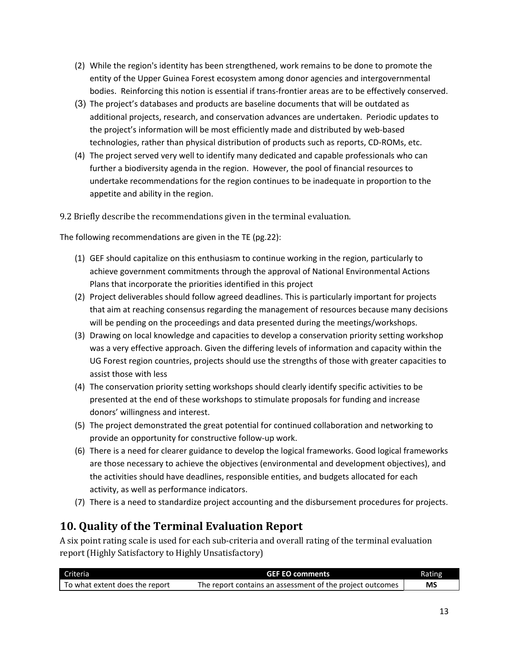- (2) While the region's identity has been strengthened, work remains to be done to promote the entity of the Upper Guinea Forest ecosystem among donor agencies and intergovernmental bodies. Reinforcing this notion is essential if trans-frontier areas are to be effectively conserved.
- (3) The project's databases and products are baseline documents that will be outdated as additional projects, research, and conservation advances are undertaken. Periodic updates to the project's information will be most efficiently made and distributed by web-based technologies, rather than physical distribution of products such as reports, CD-ROMs, etc.
- (4) The project served very well to identify many dedicated and capable professionals who can further a biodiversity agenda in the region. However, the pool of financial resources to undertake recommendations for the region continues to be inadequate in proportion to the appetite and ability in the region.

9.2 Briefly describe the recommendations given in the terminal evaluation.

The following recommendations are given in the TE (pg.22):

- (1) GEF should capitalize on this enthusiasm to continue working in the region, particularly to achieve government commitments through the approval of National Environmental Actions Plans that incorporate the priorities identified in this project
- (2) Project deliverables should follow agreed deadlines. This is particularly important for projects that aim at reaching consensus regarding the management of resources because many decisions will be pending on the proceedings and data presented during the meetings/workshops.
- (3) Drawing on local knowledge and capacities to develop a conservation priority setting workshop was a very effective approach. Given the differing levels of information and capacity within the UG Forest region countries, projects should use the strengths of those with greater capacities to assist those with less
- (4) The conservation priority setting workshops should clearly identify specific activities to be presented at the end of these workshops to stimulate proposals for funding and increase donors' willingness and interest.
- (5) The project demonstrated the great potential for continued collaboration and networking to provide an opportunity for constructive follow-up work.
- (6) There is a need for clearer guidance to develop the logical frameworks. Good logical frameworks are those necessary to achieve the objectives (environmental and development objectives), and the activities should have deadlines, responsible entities, and budgets allocated for each activity, as well as performance indicators.
- (7) There is a need to standardize project accounting and the disbursement procedures for projects.

### **10. Quality of the Terminal Evaluation Report**

A six point rating scale is used for each sub-criteria and overall rating of the terminal evaluation report (Highly Satisfactory to Highly Unsatisfactory)

| Criteria                       | <b>GEF EO comments</b>                                    | Rating |
|--------------------------------|-----------------------------------------------------------|--------|
| To what extent does the report | The report contains an assessment of the project outcomes | ΜS     |